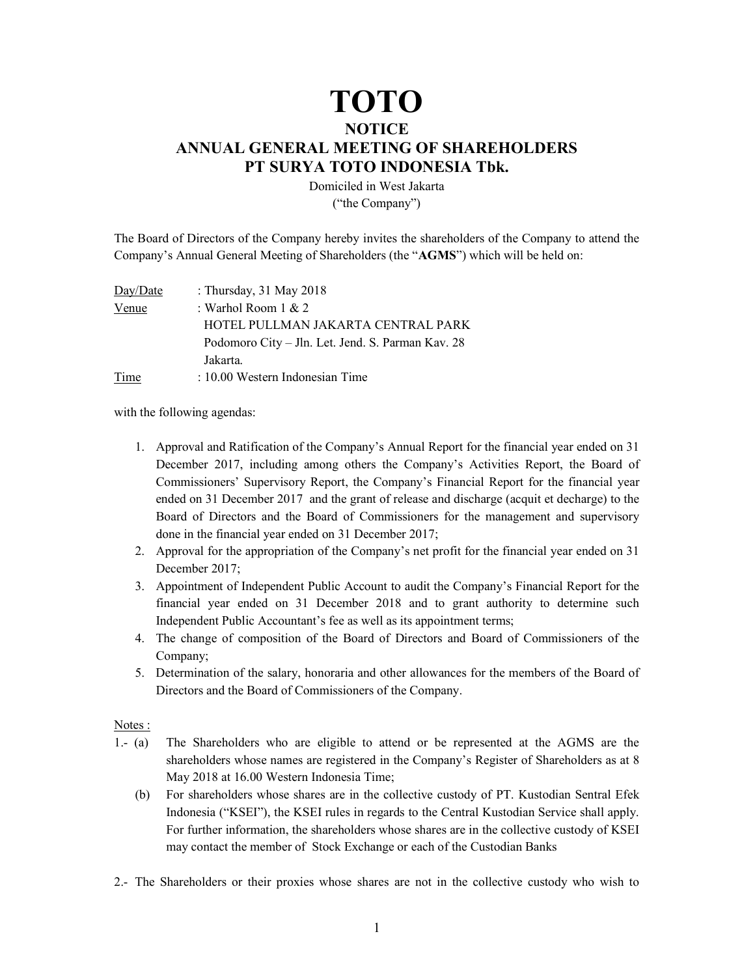## TOTO

## **NOTICE**

## ANNUAL GENERAL MEETING OF SHAREHOLDERS PT SURYA TOTO INDONESIA Tbk.

Domiciled in West Jakarta ("the Company")

The Board of Directors of the Company hereby invites the shareholders of the Company to attend the Company's Annual General Meeting of Shareholders (the "AGMS") which will be held on:

| Day/Date | : Thursday, 31 May 2018                           |
|----------|---------------------------------------------------|
| Venue    | : Warhol Room $1 & 2$                             |
|          | HOTEL PULLMAN JAKARTA CENTRAL PARK                |
|          | Podomoro City – Jln. Let. Jend. S. Parman Kav. 28 |
|          | Jakarta.                                          |
| Time     | : 10.00 Western Indonesian Time                   |

with the following agendas:

- 1. Approval and Ratification of the Company's Annual Report for the financial year ended on 31 December 2017, including among others the Company's Activities Report, the Board of Commissioners' Supervisory Report, the Company's Financial Report for the financial year ended on 31 December 2017 and the grant of release and discharge (acquit et decharge) to the Board of Directors and the Board of Commissioners for the management and supervisory done in the financial year ended on 31 December 2017;
- 2. Approval for the appropriation of the Company's net profit for the financial year ended on 31 December 2017;
- 3. Appointment of Independent Public Account to audit the Company's Financial Report for the financial year ended on 31 December 2018 and to grant authority to determine such Independent Public Accountant's fee as well as its appointment terms;
- 4. The change of composition of the Board of Directors and Board of Commissioners of the Company;
- 5. Determination of the salary, honoraria and other allowances for the members of the Board of Directors and the Board of Commissioners of the Company.

## Notes :

- 1.- (a) The Shareholders who are eligible to attend or be represented at the AGMS are the shareholders whose names are registered in the Company's Register of Shareholders as at 8 May 2018 at 16.00 Western Indonesia Time;
	- (b) For shareholders whose shares are in the collective custody of PT. Kustodian Sentral Efek Indonesia ("KSEI"), the KSEI rules in regards to the Central Kustodian Service shall apply. For further information, the shareholders whose shares are in the collective custody of KSEI may contact the member of Stock Exchange or each of the Custodian Banks
- 2.- The Shareholders or their proxies whose shares are not in the collective custody who wish to